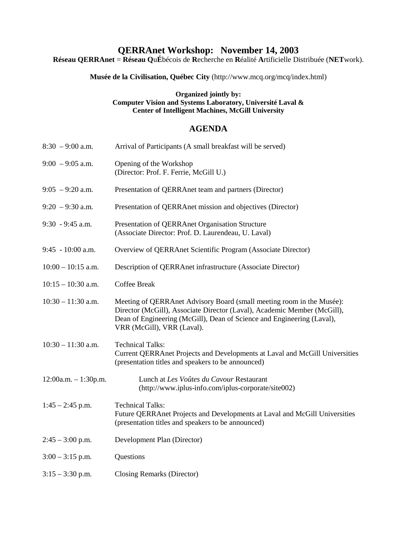# **QERRAnet Workshop: November 14, 2003**

**Réseau QERRAnet** = **Réseau Q**u**É**bécois de **R**echerche en **R**éalité **A**rtificielle Distribuée (**NET**work).

**Musée de la Civilisation, Québec City** (http://www.mcq.org/mcq/index.html)

#### **Organized jointly by: Computer Vision and Systems Laboratory, Université Laval & Center of Intelligent Machines, McGill University**

### **AGENDA**

| $8:30 - 9:00$ a.m.     | Arrival of Participants (A small breakfast will be served)                                                                                                                                                                                                |
|------------------------|-----------------------------------------------------------------------------------------------------------------------------------------------------------------------------------------------------------------------------------------------------------|
| $9:00 - 9:05$ a.m.     | Opening of the Workshop<br>(Director: Prof. F. Ferrie, McGill U.)                                                                                                                                                                                         |
| $9:05 - 9:20$ a.m.     | Presentation of QERRAnet team and partners (Director)                                                                                                                                                                                                     |
| $9:20 - 9:30$ a.m.     | Presentation of QERRAnet mission and objectives (Director)                                                                                                                                                                                                |
| $9:30 - 9:45$ a.m.     | Presentation of QERRAnet Organisation Structure<br>(Associate Director: Prof. D. Laurendeau, U. Laval)                                                                                                                                                    |
| $9:45 - 10:00$ a.m.    | Overview of QERRAnet Scientific Program (Associate Director)                                                                                                                                                                                              |
| $10:00 - 10:15$ a.m.   | Description of QERRAnet infrastructure (Associate Director)                                                                                                                                                                                               |
| $10:15 - 10:30$ a.m.   | <b>Coffee Break</b>                                                                                                                                                                                                                                       |
| $10:30 - 11:30$ a.m.   | Meeting of QERRAnet Advisory Board (small meeting room in the Musée):<br>Director (McGill), Associate Director (Laval), Academic Member (McGill),<br>Dean of Engineering (McGill), Dean of Science and Engineering (Laval),<br>VRR (McGill), VRR (Laval). |
| $10:30 - 11:30$ a.m.   | <b>Technical Talks:</b><br>Current QERRAnet Projects and Developments at Laval and McGill Universities<br>(presentation titles and speakers to be announced)                                                                                              |
| $12:00a.m. - 1:30p.m.$ | Lunch at Les Voûtes du Cavour Restaurant<br>(http://www.iplus-info.com/iplus-corporate/site002)                                                                                                                                                           |
| $1:45 - 2:45$ p.m.     | <b>Technical Talks:</b><br>Future QERRAnet Projects and Developments at Laval and McGill Universities<br>(presentation titles and speakers to be announced)                                                                                               |
| $2:45 - 3:00$ p.m.     | Development Plan (Director)                                                                                                                                                                                                                               |
| $3:00 - 3:15$ p.m.     | Questions                                                                                                                                                                                                                                                 |
| $3:15 - 3:30$ p.m.     | Closing Remarks (Director)                                                                                                                                                                                                                                |